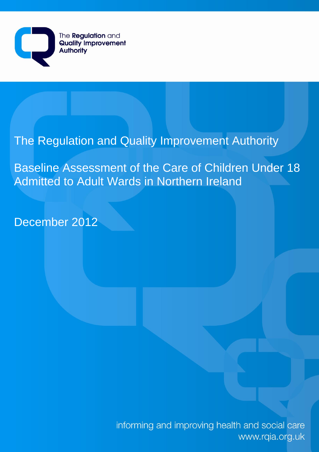

# The Regulation and Quality Improvement Authority

Baseline Assessment of the Care of Children Under 18 Admitted to Adult Wards in Northern Ireland

December 2012

informing and improving health and social care www.rqia.org.uk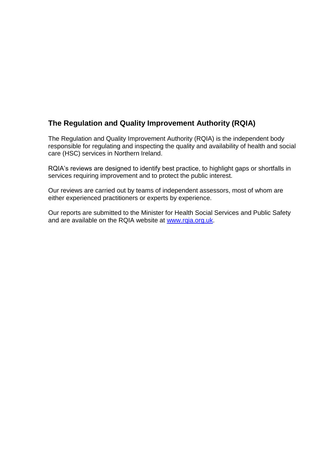# **The Regulation and Quality Improvement Authority (RQIA)**

The Regulation and Quality Improvement Authority (RQIA) is the independent body responsible for regulating and inspecting the quality and availability of health and social care (HSC) services in Northern Ireland.

RQIA's reviews are designed to identify best practice, to highlight gaps or shortfalls in services requiring improvement and to protect the public interest.

Our reviews are carried out by teams of independent assessors, most of whom are either experienced practitioners or experts by experience.

Our reports are submitted to the Minister for Health Social Services and Public Safety and are available on the RQIA website at [www.rqia.org.uk.](http://www.rqia.org.uk/)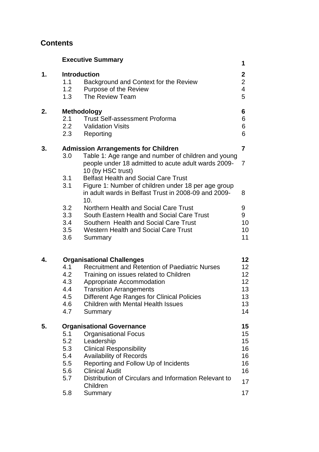# **Contents**

|    |                                                      | <b>Executive Summary</b>                                                                                                                                                                                                                                                                                        | 1                                                  |
|----|------------------------------------------------------|-----------------------------------------------------------------------------------------------------------------------------------------------------------------------------------------------------------------------------------------------------------------------------------------------------------------|----------------------------------------------------|
| 1. | 1.1<br>1.2<br>1.3                                    | <b>Introduction</b><br>Background and Context for the Review<br>Purpose of the Review<br>The Review Team                                                                                                                                                                                                        | $\mathbf{2}$<br>$\overline{2}$<br>4<br>5           |
| 2. | 2.1<br>2.2<br>2.3                                    | <b>Methodology</b><br><b>Trust Self-assessment Proforma</b><br><b>Validation Visits</b><br>Reporting                                                                                                                                                                                                            | 6<br>6<br>6<br>6                                   |
| 3. | 3.0<br>3.1<br>3.1                                    | <b>Admission Arrangements for Children</b><br>Table 1: Age range and number of children and young<br>people under 18 admitted to acute adult wards 2009-<br>10 (by HSC trust)<br><b>Belfast Health and Social Care Trust</b><br>Figure 1: Number of children under 18 per age group                             | 7<br>7                                             |
|    | 3.2<br>3.3<br>3.4<br>3.5<br>3.6                      | in adult wards in Belfast Trust in 2008-09 and 2009-<br>10.<br>Northern Health and Social Care Trust<br>South Eastern Health and Social Care Trust<br>Southern Health and Social Care Trust<br><b>Western Health and Social Care Trust</b><br>Summary                                                           | 8<br>9<br>9<br>10<br>10<br>11                      |
| 4. | 4.1<br>4.2<br>4.3<br>4.4<br>4.5<br>4.6<br>4.7        | <b>Organisational Challenges</b><br><b>Recruitment and Retention of Paediatric Nurses</b><br>Training on issues related to Children<br>Appropriate Accommodation<br><b>Transition Arrangements</b><br><b>Different Age Ranges for Clinical Policies</b><br><b>Children with Mental Health Issues</b><br>Summary | 12<br>12<br>12<br>12<br>13<br>13<br>13<br>14       |
| 5. | 5.1<br>5.2<br>5.3<br>5.4<br>5.5<br>5.6<br>5.7<br>5.8 | <b>Organisational Governance</b><br><b>Organisational Focus</b><br>Leadership<br><b>Clinical Responsibility</b><br><b>Availability of Records</b><br>Reporting and Follow Up of Incidents<br><b>Clinical Audit</b><br>Distribution of Circulars and Information Relevant to<br>Children<br>Summary              | 15<br>15<br>15<br>16<br>16<br>16<br>16<br>17<br>17 |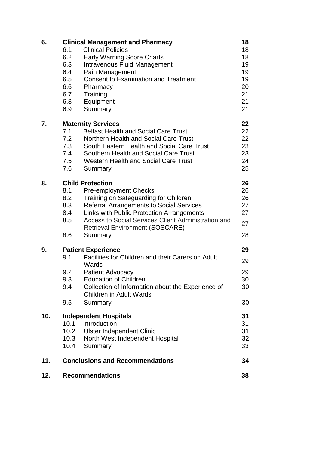| 6.  | <b>Clinical Management and Pharmacy</b>      |                                                                                     |    |  |  |
|-----|----------------------------------------------|-------------------------------------------------------------------------------------|----|--|--|
|     | 6.1                                          | <b>Clinical Policies</b>                                                            | 18 |  |  |
|     | 6.2                                          | <b>Early Warning Score Charts</b>                                                   | 18 |  |  |
|     | 6.3                                          | Intravenous Fluid Management                                                        | 19 |  |  |
|     | 6.4                                          | Pain Management                                                                     | 19 |  |  |
|     | 6.5                                          | <b>Consent to Examination and Treatment</b>                                         | 19 |  |  |
|     | 6.6                                          | Pharmacy                                                                            | 20 |  |  |
|     | 6.7                                          | Training                                                                            | 21 |  |  |
|     | 6.8                                          | Equipment                                                                           | 21 |  |  |
|     | 6.9                                          | Summary                                                                             | 21 |  |  |
| 7.  | 22<br><b>Maternity Services</b>              |                                                                                     |    |  |  |
|     | 7.1                                          | <b>Belfast Health and Social Care Trust</b>                                         | 22 |  |  |
|     | 7.2                                          | Northern Health and Social Care Trust                                               | 22 |  |  |
|     | 7.3                                          | South Eastern Health and Social Care Trust                                          | 23 |  |  |
|     | 7.4                                          | Southern Health and Social Care Trust                                               | 23 |  |  |
|     | 7.5                                          | <b>Western Health and Social Care Trust</b>                                         | 24 |  |  |
|     | 7.6                                          | Summary                                                                             | 25 |  |  |
| 8.  |                                              | <b>Child Protection</b>                                                             | 26 |  |  |
|     | 8.1                                          | <b>Pre-employment Checks</b>                                                        | 26 |  |  |
|     | 8.2                                          | Training on Safeguarding for Children                                               | 26 |  |  |
|     | 8.3                                          | <b>Referral Arrangements to Social Services</b>                                     | 27 |  |  |
|     | 8.4                                          | Links with Public Protection Arrangements                                           | 27 |  |  |
|     | 8.5                                          | Access to Social Services Client Administration and                                 | 27 |  |  |
|     |                                              | <b>Retrieval Environment (SOSCARE)</b>                                              |    |  |  |
|     | 8.6                                          | Summary                                                                             | 28 |  |  |
| 9.  | <b>Patient Experience</b>                    |                                                                                     |    |  |  |
|     | 9.1                                          | Facilities for Children and their Carers on Adult                                   | 29 |  |  |
|     |                                              | Wards                                                                               |    |  |  |
|     | 9.2                                          | <b>Patient Advocacy</b>                                                             | 29 |  |  |
|     | 9.3                                          | <b>Education of Children</b>                                                        | 30 |  |  |
|     | 9.4                                          | Collection of Information about the Experience of<br><b>Children in Adult Wards</b> | 30 |  |  |
|     | 9.5                                          | Summary                                                                             | 30 |  |  |
| 10. | <b>Independent Hospitals</b>                 |                                                                                     |    |  |  |
|     | 10.1                                         | Introduction                                                                        | 31 |  |  |
|     | 10.2                                         | <b>Ulster Independent Clinic</b>                                                    | 31 |  |  |
|     | 10.3                                         | North West Independent Hospital                                                     | 32 |  |  |
|     | 10.4                                         | Summary                                                                             | 33 |  |  |
| 11. | <b>Conclusions and Recommendations</b><br>34 |                                                                                     |    |  |  |
| 12. |                                              | <b>Recommendations</b>                                                              | 38 |  |  |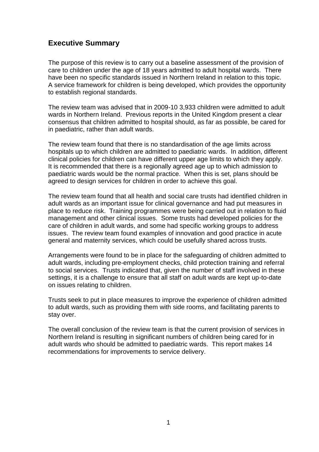# **Executive Summary**

The purpose of this review is to carry out a baseline assessment of the provision of care to children under the age of 18 years admitted to adult hospital wards. There have been no specific standards issued in Northern Ireland in relation to this topic. A service framework for children is being developed, which provides the opportunity to establish regional standards.

The review team was advised that in 2009-10 3,933 children were admitted to adult wards in Northern Ireland. Previous reports in the United Kingdom present a clear consensus that children admitted to hospital should, as far as possible, be cared for in paediatric, rather than adult wards.

The review team found that there is no standardisation of the age limits across hospitals up to which children are admitted to paediatric wards. In addition, different clinical policies for children can have different upper age limits to which they apply. It is recommended that there is a regionally agreed age up to which admission to paediatric wards would be the normal practice. When this is set, plans should be agreed to design services for children in order to achieve this goal.

The review team found that all health and social care trusts had identified children in adult wards as an important issue for clinical governance and had put measures in place to reduce risk. Training programmes were being carried out in relation to fluid management and other clinical issues. Some trusts had developed policies for the care of children in adult wards, and some had specific working groups to address issues. The review team found examples of innovation and good practice in acute general and maternity services, which could be usefully shared across trusts.

Arrangements were found to be in place for the safeguarding of children admitted to adult wards, including pre-employment checks, child protection training and referral to social services. Trusts indicated that, given the number of staff involved in these settings, it is a challenge to ensure that all staff on adult wards are kept up-to-date on issues relating to children.

Trusts seek to put in place measures to improve the experience of children admitted to adult wards, such as providing them with side rooms, and facilitating parents to stay over.

The overall conclusion of the review team is that the current provision of services in Northern Ireland is resulting in significant numbers of children being cared for in adult wards who should be admitted to paediatric wards. This report makes 14 recommendations for improvements to service delivery.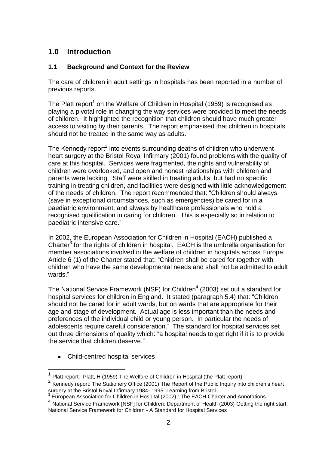# **1.0 Introduction**

### **1.1 Background and Context for the Review**

The care of children in adult settings in hospitals has been reported in a number of previous reports.

The Platt report<sup>1</sup> on the Welfare of Children in Hospital (1959) is recognised as playing a pivotal role in changing the way services were provided to meet the needs of children. It highlighted the recognition that children should have much greater access to visiting by their parents. The report emphasised that children in hospitals should not be treated in the same way as adults.

The Kennedy report<sup>2</sup> into events surrounding deaths of children who underwent heart surgery at the Bristol Royal Infirmary (2001) found problems with the quality of care at this hospital. Services were fragmented, the rights and vulnerability of children were overlooked, and open and honest relationships with children and parents were lacking. Staff were skilled in treating adults, but had no specific training in treating children, and facilities were designed with little acknowledgement of the needs of children. The report recommended that: "Children should always (save in exceptional circumstances, such as emergencies) be cared for in a paediatric environment, and always by healthcare professionals who hold a recognised qualification in caring for children. This is especially so in relation to paediatric intensive care."

In 2002, the European Association for Children in Hospital (EACH) published a Charter $^3$  for the rights of children in hospital. EACH is the umbrella organisation for member associations involved in the welfare of children in hospitals across Europe. Article 6 (1) of the Charter stated that: "Children shall be cared for together with children who have the same developmental needs and shall not be admitted to adult wards."

The National Service Framework (NSF) for Children $<sup>4</sup>$  (2003) set out a standard for</sup> hospital services for children in England. It stated (paragraph 5.4) that: "Children should not be cared for in adult wards, but on wards that are appropriate for their age and stage of development. Actual age is less important than the needs and preferences of the individual child or young person. In particular the needs of adolescents require careful consideration." The standard for hospital services set out three dimensions of quality which: "a hospital needs to get right if it is to provide the service that children deserve."

• Child-centred hospital services

1

<sup>1</sup> Platt report: Platt, H (1959) The Welfare of Children in Hospital (the Platt report)

 $2$  Kennedy report: The Stationery Office (2001) The Report of the Public Inquiry into children's heart surgery at the Bristol Royal Infirmary 1984- 1995: Learning from Bristol

<sup>&</sup>lt;sup>3</sup> European Association for Children in Hospital (2002) : The EACH Charter and Annotations

<sup>4</sup> National Service Framework [NSF] for Children: Department of Health (2003) Getting the right start: National Service Framework for Children - A Standard for Hospital Services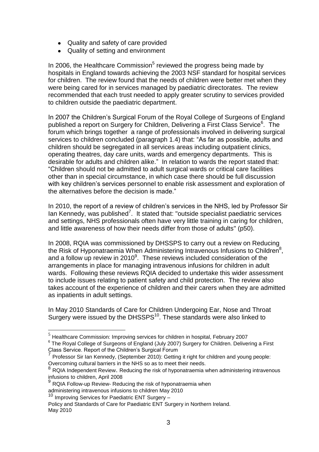- Quality and safety of care provided
- Quality of setting and environment

In 2006, the Healthcare Commission<sup>5</sup> reviewed the progress being made by hospitals in England towards achieving the 2003 NSF standard for hospital services for children. The review found that the needs of children were better met when they were being cared for in services managed by paediatric directorates. The review recommended that each trust needed to apply greater scrutiny to services provided to children outside the paediatric department.

In 2007 the Children's Surgical Forum of the Royal College of Surgeons of England published a report on Surgery for Children, Delivering a First Class Service<sup>6</sup>. The forum which brings together a range of professionals involved in delivering surgical services to children concluded (paragraph 1.4) that: "As far as possible, adults and children should be segregated in all services areas including outpatient clinics, operating theatres, day care units, wards and emergency departments. This is desirable for adults and children alike." In relation to wards the report stated that: "Children should not be admitted to adult surgical wards or critical care facilities other than in special circumstance, in which case there should be full discussion with key children's services personnel to enable risk assessment and exploration of the alternatives before the decision is made."

In 2010, the report of a review of children's services in the NHS, led by Professor Sir lan Kennedy, was published<sup>7</sup>. It stated that: "outside specialist paediatric services and settings, NHS professionals often have very little training in caring for children, and little awareness of how their needs differ from those of adults" (p50).

In 2008, RQIA was commissioned by DHSSPS to carry out a review on Reducing the Risk of Hyponatraemia When Administering Intravenous Infusions to Children $^8$ , and a follow up review in  $2010<sup>9</sup>$ . These reviews included consideration of the arrangements in place for managing intravenous infusions for children in adult wards. Following these reviews RQIA decided to undertake this wider assessment to include issues relating to patient safety and child protection. The review also takes account of the experience of children and their carers when they are admitted as inpatients in adult settings.

In May 2010 Standards of Care for Children Undergoing Ear, Nose and Throat Surgery were issued by the DHSSPS<sup>10</sup>. These standards were also linked to

1

 $<sup>5</sup>$  Healthcare Commission: Improving services for children in hospital, February 2007</sup>

 $6$  The Royal College of Surgeons of England (July 2007) Surgery for Children. Delivering a First Class Service. Report of the Children's Surgical Forum

<sup>7</sup> Professor Sir Ian Kennedy, (September 2010): Getting it right for children and young people: Overcoming cultural barriers in the NHS so as to meet their needs.

<sup>8</sup> RQIA Independent Review. Reducing the risk of hyponatraemia when administering intravenous infusions to children, April 2008

<sup>&</sup>lt;sup>9</sup> RQIA Follow-up Review- Reducing the risk of hyponatraemia when administering intravenous infusions to children May 2010

<sup>10</sup> Improving Services for Paediatric ENT Surgery -

Policy and Standards of Care for Paediatric ENT Surgery in Northern Ireland. May 2010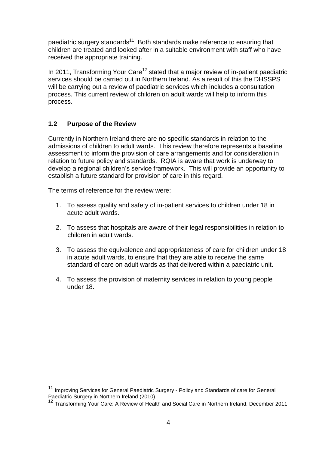paediatric surgery standards<sup>11</sup>. Both standards make reference to ensuring that children are treated and looked after in a suitable environment with staff who have received the appropriate training.

In 2011, Transforming Your Care<sup>12</sup> stated that a major review of in-patient paediatric services should be carried out in Northern Ireland. As a result of this the DHSSPS will be carrying out a review of paediatric services which includes a consultation process. This current review of children on adult wards will help to inform this process.

### **1.2 Purpose of the Review**

1

Currently in Northern Ireland there are no specific standards in relation to the admissions of children to adult wards. This review therefore represents a baseline assessment to inform the provision of care arrangements and for consideration in relation to future policy and standards. RQIA is aware that work is underway to develop a regional children's service framework. This will provide an opportunity to establish a future standard for provision of care in this regard.

The terms of reference for the review were:

- 1. To assess quality and safety of in-patient services to children under 18 in acute adult wards.
- 2. To assess that hospitals are aware of their legal responsibilities in relation to children in adult wards.
- 3. To assess the equivalence and appropriateness of care for children under 18 in acute adult wards, to ensure that they are able to receive the same standard of care on adult wards as that delivered within a paediatric unit.
- 4. To assess the provision of maternity services in relation to young people under 18.

<sup>&</sup>lt;sup>11</sup> Improving Services for General Paediatric Surgery - Policy and Standards of care for General Paediatric Surgery in Northern Ireland (2010).

<sup>12</sup> Transforming Your Care: A Review of Health and Social Care in Northern Ireland. December 2011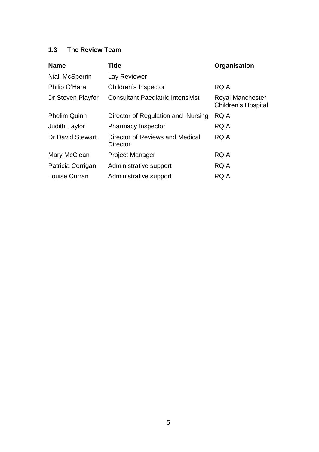# **1.3 The Review Team**

| <b>Name</b>            | Title                                              | Organisation                                   |
|------------------------|----------------------------------------------------|------------------------------------------------|
| <b>Niall McSperrin</b> | Lay Reviewer                                       |                                                |
| Philip O'Hara          | Children's Inspector                               | <b>RQIA</b>                                    |
| Dr Steven Playfor      | <b>Consultant Paediatric Intensivist</b>           | <b>Royal Manchester</b><br>Children's Hospital |
| <b>Phelim Quinn</b>    | Director of Regulation and Nursing                 | <b>RQIA</b>                                    |
| <b>Judith Taylor</b>   | <b>Pharmacy Inspector</b>                          | <b>RQIA</b>                                    |
| Dr David Stewart       | Director of Reviews and Medical<br><b>Director</b> | <b>RQIA</b>                                    |
| Mary McClean           | <b>Project Manager</b>                             | <b>RQIA</b>                                    |
| Patricia Corrigan      | Administrative support                             | <b>RQIA</b>                                    |
| Louise Curran          | Administrative support                             | <b>RQIA</b>                                    |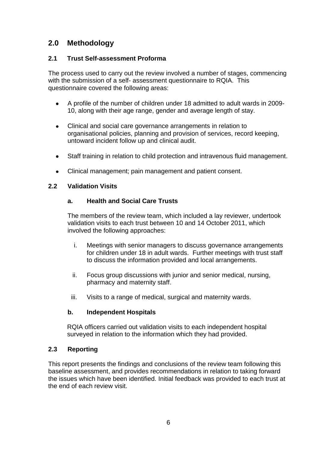# **2.0 Methodology**

#### **2.1 Trust Self-assessment Proforma**

The process used to carry out the review involved a number of stages, commencing with the submission of a self- assessment questionnaire to RQIA. This questionnaire covered the following areas:

- A profile of the number of children under 18 admitted to adult wards in 2009- 10, along with their age range, gender and average length of stay.
- $\bullet$ Clinical and social care governance arrangements in relation to organisational policies, planning and provision of services, record keeping, untoward incident follow up and clinical audit.
- Staff training in relation to child protection and intravenous fluid management.  $\bullet$
- Clinical management; pain management and patient consent.  $\bullet$

#### **2.2 Validation Visits**

### **a. Health and Social Care Trusts**

The members of the review team, which included a lay reviewer, undertook validation visits to each trust between 10 and 14 October 2011, which involved the following approaches:

- i. Meetings with senior managers to discuss governance arrangements for children under 18 in adult wards. Further meetings with trust staff to discuss the information provided and local arrangements.
- ii. Focus group discussions with junior and senior medical, nursing, pharmacy and maternity staff.
- iii. Visits to a range of medical, surgical and maternity wards.

#### **b. Independent Hospitals**

RQIA officers carried out validation visits to each independent hospital surveyed in relation to the information which they had provided.

#### **2.3 Reporting**

This report presents the findings and conclusions of the review team following this baseline assessment, and provides recommendations in relation to taking forward the issues which have been identified. Initial feedback was provided to each trust at the end of each review visit.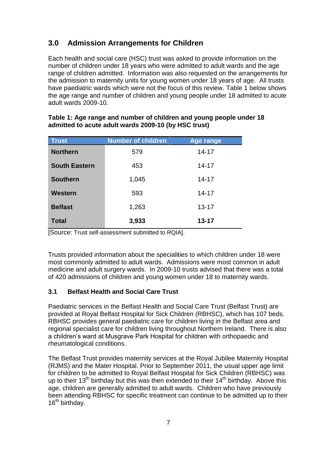# **3.0 Admission Arrangements for Children**

Each health and social care (HSC) trust was asked to provide information on the number of children under 18 years who were admitted to adult wards and the age range of children admitted. Information was also requested on the arrangements for the admission to maternity units for young women under 18 years of age. All trusts have paediatric wards which were not the focus of this review. Table 1 below shows the age range and number of children and young people under 18 admitted to acute adult wards 2009-10.

| <b>Trust</b>         | <b>Number of children</b> | Age range |
|----------------------|---------------------------|-----------|
| <b>Northern</b>      | 579                       | $14 - 17$ |
| <b>South Eastern</b> | 453                       | $14 - 17$ |
| <b>Southern</b>      | 1,045                     | $14 - 17$ |
| Western              | 593                       | $14 - 17$ |
| <b>Belfast</b>       | 1,263                     | $13 - 17$ |
| <b>Total</b>         | 3,933                     | $13 - 17$ |

#### **Table 1: Age range and number of children and young people under 18 admitted to acute adult wards 2009-10 (by HSC trust)**

[Source: Trust self-assessment submitted to RQIA].

Trusts provided information about the specialities to which children under 18 were most commonly admitted to adult wards. Admissions were most common in adult medicine and adult surgery wards. In 2009-10 trusts advised that there was a total of 420 admissions of children and young women under 18 to maternity wards.

# **3.1 Belfast Health and Social Care Trust**

Paediatric services in the Belfast Health and Social Care Trust (Belfast Trust) are provided at Royal Belfast Hospital for Sick Children (RBHSC), which has 107 beds. RBHSC provides general paediatric care for children living in the Belfast area and regional specialist care for children living throughout Northern Ireland. There is also a children's ward at Musgrave Park Hospital for children with orthopaedic and rheumatological conditions.

The Belfast Trust provides maternity services at the Royal Jubilee Maternity Hospital (RJMS) and the Mater Hospital. Prior to September 2011, the usual upper age limit for children to be admitted to Royal Belfast Hospital for Sick Children (RBHSC) was up to their  $13<sup>th</sup>$  birthday but this was then extended to their  $14<sup>th</sup>$  birthday. Above this age, children are generally admitted to adult wards. Children who have previously been attending RBHSC for specific treatment can continue to be admitted up to their 16<sup>th</sup> birthday.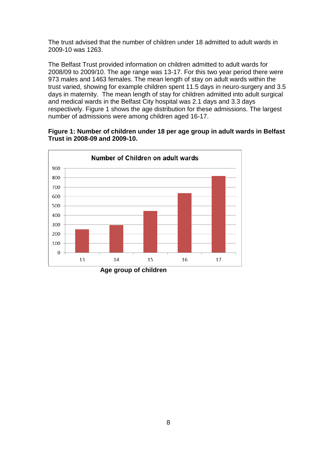The trust advised that the number of children under 18 admitted to adult wards in 2009-10 was 1263.

The Belfast Trust provided information on children admitted to adult wards for 2008/09 to 2009/10. The age range was 13-17. For this two year period there were 973 males and 1463 females. The mean length of stay on adult wards within the trust varied, showing for example children spent 11.5 days in neuro-surgery and 3.5 days in maternity. The mean length of stay for children admitted into adult surgical and medical wards in the Belfast City hospital was 2.1 days and 3.3 days respectively. Figure 1 shows the age distribution for these admissions. The largest number of admissions were among children aged 16-17.



#### **Figure 1: Number of children under 18 per age group in adult wards in Belfast Trust in 2008-09 and 2009-10.**

 **Age group of children**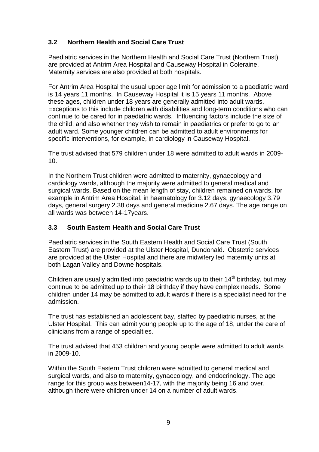# **3.2 Northern Health and Social Care Trust**

Paediatric services in the Northern Health and Social Care Trust (Northern Trust) are provided at Antrim Area Hospital and Causeway Hospital in Coleraine. Maternity services are also provided at both hospitals.

For Antrim Area Hospital the usual upper age limit for admission to a paediatric ward is 14 years 11 months. In Causeway Hospital it is 15 years 11 months. Above these ages, children under 18 years are generally admitted into adult wards. Exceptions to this include children with disabilities and long-term conditions who can continue to be cared for in paediatric wards. Influencing factors include the size of the child, and also whether they wish to remain in paediatrics or prefer to go to an adult ward. Some younger children can be admitted to adult environments for specific interventions, for example, in cardiology in Causeway Hospital.

The trust advised that 579 children under 18 were admitted to adult wards in 2009- 10.

In the Northern Trust children were admitted to maternity, gynaecology and cardiology wards, although the majority were admitted to general medical and surgical wards. Based on the mean length of stay, children remained on wards, for example in Antrim Area Hospital, in haematology for 3.12 days, gynaecology 3.79 days, general surgery 2.38 days and general medicine 2.67 days. The age range on all wards was between 14-17years.

#### **3.3 South Eastern Health and Social Care Trust**

Paediatric services in the South Eastern Health and Social Care Trust (South Eastern Trust) are provided at the Ulster Hospital, Dundonald. Obstetric services are provided at the Ulster Hospital and there are midwifery led maternity units at both Lagan Valley and Downe hospitals.

Children are usually admitted into paediatric wards up to their  $14<sup>th</sup>$  birthday, but may continue to be admitted up to their 18 birthday if they have complex needs. Some children under 14 may be admitted to adult wards if there is a specialist need for the admission.

The trust has established an adolescent bay, staffed by paediatric nurses, at the Ulster Hospital. This can admit young people up to the age of 18, under the care of clinicians from a range of specialties.

The trust advised that 453 children and young people were admitted to adult wards in 2009-10.

Within the South Eastern Trust children were admitted to general medical and surgical wards, and also to maternity, gynaecology, and endocrinology. The age range for this group was between14-17, with the majority being 16 and over, although there were children under 14 on a number of adult wards.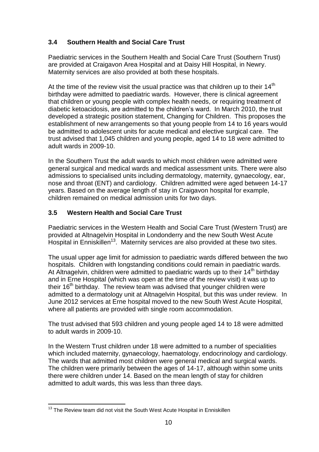# **3.4 Southern Health and Social Care Trust**

Paediatric services in the Southern Health and Social Care Trust (Southern Trust) are provided at Craigavon Area Hospital and at Daisy Hill Hospital, in Newry. Maternity services are also provided at both these hospitals.

At the time of the review visit the usual practice was that children up to their  $14<sup>th</sup>$ birthday were admitted to paediatric wards. However, there is clinical agreement that children or young people with complex health needs, or requiring treatment of diabetic ketoacidosis, are admitted to the children's ward. In March 2010, the trust developed a strategic position statement, Changing for Children. This proposes the establishment of new arrangements so that young people from 14 to 16 years would be admitted to adolescent units for acute medical and elective surgical care. The trust advised that 1,045 children and young people, aged 14 to 18 were admitted to adult wards in 2009-10.

In the Southern Trust the adult wards to which most children were admitted were general surgical and medical wards and medical assessment units. There were also admissions to specialised units including dermatology, maternity, gynaecology, ear, nose and throat (ENT) and cardiology. Children admitted were aged between 14-17 years. Based on the average length of stay in Craigavon hospital for example, children remained on medical admission units for two days.

# **3.5 Western Health and Social Care Trust**

Paediatric services in the Western Health and Social Care Trust (Western Trust) are provided at Altnagelvin Hospital in Londonderry and the new South West Acute Hospital in Enniskillen<sup>13</sup>. Maternity services are also provided at these two sites.

The usual upper age limit for admission to paediatric wards differed between the two hospitals. Children with longstanding conditions could remain in paediatric wards. At Altnagelvin, children were admitted to paediatric wards up to their  $14<sup>th</sup>$  birthday and in Erne Hospital (which was open at the time of the review visit) it was up to their  $16<sup>th</sup>$  birthday. The review team was advised that younger children were admitted to a dermatology unit at Altnagelvin Hospital, but this was under review. In June 2012 services at Erne hospital moved to the new South West Acute Hospital, where all patients are provided with single room accommodation.

The trust advised that 593 children and young people aged 14 to 18 were admitted to adult wards in 2009-10.

In the Western Trust children under 18 were admitted to a number of specialities which included maternity, gynaecology, haematology, endocrinology and cardiology. The wards that admitted most children were general medical and surgical wards. The children were primarily between the ages of 14-17, although within some units there were children under 14. Based on the mean length of stay for children admitted to adult wards, this was less than three days.

<sup>1</sup>  $13$  The Review team did not visit the South West Acute Hospital in Enniskillen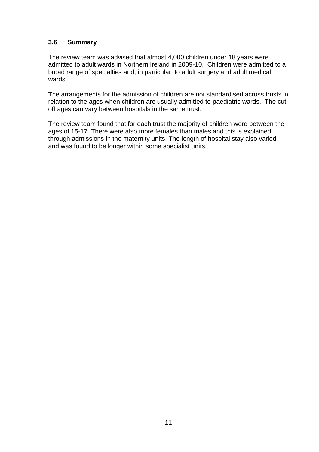### **3.6 Summary**

The review team was advised that almost 4,000 children under 18 years were admitted to adult wards in Northern Ireland in 2009-10. Children were admitted to a broad range of specialties and, in particular, to adult surgery and adult medical wards.

The arrangements for the admission of children are not standardised across trusts in relation to the ages when children are usually admitted to paediatric wards. The cutoff ages can vary between hospitals in the same trust.

The review team found that for each trust the majority of children were between the ages of 15-17. There were also more females than males and this is explained through admissions in the maternity units. The length of hospital stay also varied and was found to be longer within some specialist units.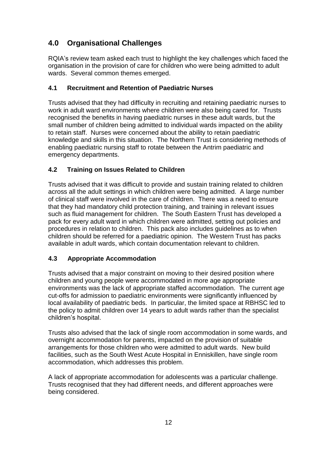# **4.0 Organisational Challenges**

RQIA's review team asked each trust to highlight the key challenges which faced the organisation in the provision of care for children who were being admitted to adult wards. Several common themes emerged.

# **4.1 Recruitment and Retention of Paediatric Nurses**

Trusts advised that they had difficulty in recruiting and retaining paediatric nurses to work in adult ward environments where children were also being cared for. Trusts recognised the benefits in having paediatric nurses in these adult wards, but the small number of children being admitted to individual wards impacted on the ability to retain staff. Nurses were concerned about the ability to retain paediatric knowledge and skills in this situation. The Northern Trust is considering methods of enabling paediatric nursing staff to rotate between the Antrim paediatric and emergency departments.

# **4.2 Training on Issues Related to Children**

Trusts advised that it was difficult to provide and sustain training related to children across all the adult settings in which children were being admitted. A large number of clinical staff were involved in the care of children. There was a need to ensure that they had mandatory child protection training, and training in relevant issues such as fluid management for children. The South Eastern Trust has developed a pack for every adult ward in which children were admitted, setting out policies and procedures in relation to children. This pack also includes guidelines as to when children should be referred for a paediatric opinion. The Western Trust has packs available in adult wards, which contain documentation relevant to children.

# **4.3 Appropriate Accommodation**

Trusts advised that a major constraint on moving to their desired position where children and young people were accommodated in more age appropriate environments was the lack of appropriate staffed accommodation. The current age cut-offs for admission to paediatric environments were significantly influenced by local availability of paediatric beds. In particular, the limited space at RBHSC led to the policy to admit children over 14 years to adult wards rather than the specialist children's hospital.

Trusts also advised that the lack of single room accommodation in some wards, and overnight accommodation for parents, impacted on the provision of suitable arrangements for those children who were admitted to adult wards. New build facilities, such as the South West Acute Hospital in Enniskillen, have single room accommodation, which addresses this problem.

A lack of appropriate accommodation for adolescents was a particular challenge. Trusts recognised that they had different needs, and different approaches were being considered.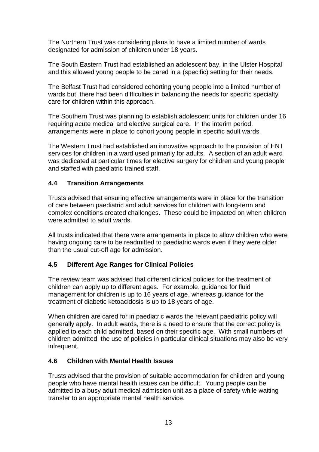The Northern Trust was considering plans to have a limited number of wards designated for admission of children under 18 years.

The South Eastern Trust had established an adolescent bay, in the Ulster Hospital and this allowed young people to be cared in a (specific) setting for their needs.

The Belfast Trust had considered cohorting young people into a limited number of wards but, there had been difficulties in balancing the needs for specific specialty care for children within this approach.

The Southern Trust was planning to establish adolescent units for children under 16 requiring acute medical and elective surgical care. In the interim period, arrangements were in place to cohort young people in specific adult wards.

The Western Trust had established an innovative approach to the provision of ENT services for children in a ward used primarily for adults. A section of an adult ward was dedicated at particular times for elective surgery for children and young people and staffed with paediatric trained staff.

#### **4.4 Transition Arrangements**

Trusts advised that ensuring effective arrangements were in place for the transition of care between paediatric and adult services for children with long-term and complex conditions created challenges. These could be impacted on when children were admitted to adult wards.

All trusts indicated that there were arrangements in place to allow children who were having ongoing care to be readmitted to paediatric wards even if they were older than the usual cut-off age for admission.

#### **4.5 Different Age Ranges for Clinical Policies**

The review team was advised that different clinical policies for the treatment of children can apply up to different ages. For example, guidance for fluid management for children is up to 16 years of age, whereas guidance for the treatment of diabetic ketoacidosis is up to 18 years of age.

When children are cared for in paediatric wards the relevant paediatric policy will generally apply. In adult wards, there is a need to ensure that the correct policy is applied to each child admitted, based on their specific age. With small numbers of children admitted, the use of policies in particular clinical situations may also be very infrequent.

#### **4.6 Children with Mental Health Issues**

Trusts advised that the provision of suitable accommodation for children and young people who have mental health issues can be difficult. Young people can be admitted to a busy adult medical admission unit as a place of safety while waiting transfer to an appropriate mental health service.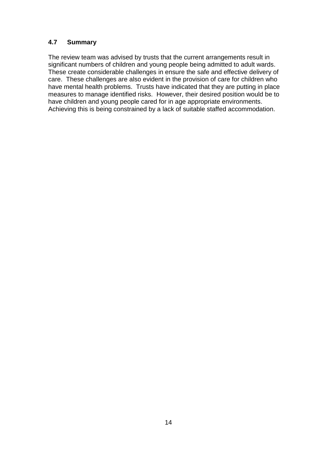### **4.7 Summary**

The review team was advised by trusts that the current arrangements result in significant numbers of children and young people being admitted to adult wards. These create considerable challenges in ensure the safe and effective delivery of care. These challenges are also evident in the provision of care for children who have mental health problems. Trusts have indicated that they are putting in place measures to manage identified risks. However, their desired position would be to have children and young people cared for in age appropriate environments. Achieving this is being constrained by a lack of suitable staffed accommodation.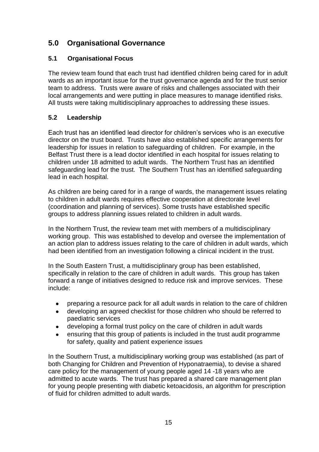# **5.0 Organisational Governance**

# **5.1 Organisational Focus**

The review team found that each trust had identified children being cared for in adult wards as an important issue for the trust governance agenda and for the trust senior team to address. Trusts were aware of risks and challenges associated with their local arrangements and were putting in place measures to manage identified risks. All trusts were taking multidisciplinary approaches to addressing these issues.

# **5.2 Leadership**

Each trust has an identified lead director for children's services who is an executive director on the trust board. Trusts have also established specific arrangements for leadership for issues in relation to safeguarding of children. For example, in the Belfast Trust there is a lead doctor identified in each hospital for issues relating to children under 18 admitted to adult wards. The Northern Trust has an identified safeguarding lead for the trust. The Southern Trust has an identified safeguarding lead in each hospital.

As children are being cared for in a range of wards, the management issues relating to children in adult wards requires effective cooperation at directorate level (coordination and planning of services). Some trusts have established specific groups to address planning issues related to children in adult wards.

In the Northern Trust, the review team met with members of a multidisciplinary working group. This was established to develop and oversee the implementation of an action plan to address issues relating to the care of children in adult wards, which had been identified from an investigation following a clinical incident in the trust.

In the South Eastern Trust, a multidisciplinary group has been established, specifically in relation to the care of children in adult wards. This group has taken forward a range of initiatives designed to reduce risk and improve services. These include:

- preparing a resource pack for all adult wards in relation to the care of children  $\bullet$
- $\bullet$ developing an agreed checklist for those children who should be referred to paediatric services
- developing a formal trust policy on the care of children in adult wards  $\bullet$
- ensuring that this group of patients is included in the trust audit programme for safety, quality and patient experience issues

In the Southern Trust, a multidisciplinary working group was established (as part of both Changing for Children and Prevention of Hyponatraemia), to devise a shared care policy for the management of young people aged 14 -18 years who are admitted to acute wards. The trust has prepared a shared care management plan for young people presenting with diabetic ketoacidosis, an algorithm for prescription of fluid for children admitted to adult wards.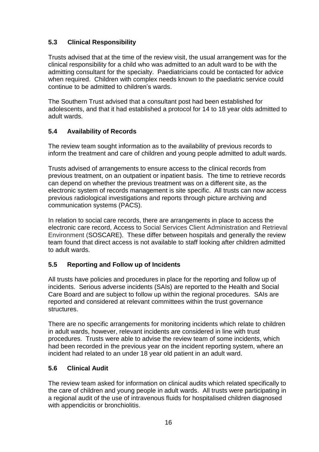# **5.3 Clinical Responsibility**

Trusts advised that at the time of the review visit, the usual arrangement was for the clinical responsibility for a child who was admitted to an adult ward to be with the admitting consultant for the specialty. Paediatricians could be contacted for advice when required. Children with complex needs known to the paediatric service could continue to be admitted to children's wards.

The Southern Trust advised that a consultant post had been established for adolescents, and that it had established a protocol for 14 to 18 year olds admitted to adult wards.

# **5.4 Availability of Records**

The review team sought information as to the availability of previous records to inform the treatment and care of children and young people admitted to adult wards.

Trusts advised of arrangements to ensure access to the clinical records from previous treatment, on an outpatient or inpatient basis. The time to retrieve records can depend on whether the previous treatment was on a different site, as the electronic system of records management is site specific. All trusts can now access previous radiological investigations and reports through picture archiving and communication systems (PACS).

In relation to social care records, there are arrangements in place to access the electronic care record, Access to Social Services Client Administration and Retrieval Environment (SOSCARE). These differ between hospitals and generally the review team found that direct access is not available to staff looking after children admitted to adult wards.

# **5.5 Reporting and Follow up of Incidents**

All trusts have policies and procedures in place for the reporting and follow up of incidents. Serious adverse incidents (SAIs) are reported to the Health and Social Care Board and are subject to follow up within the regional procedures. SAIs are reported and considered at relevant committees within the trust governance structures.

There are no specific arrangements for monitoring incidents which relate to children in adult wards, however, relevant incidents are considered in line with trust procedures. Trusts were able to advise the review team of some incidents, which had been recorded in the previous year on the incident reporting system, where an incident had related to an under 18 year old patient in an adult ward.

# **5.6 Clinical Audit**

The review team asked for information on clinical audits which related specifically to the care of children and young people in adult wards. All trusts were participating in a regional audit of the use of intravenous fluids for hospitalised children diagnosed with appendicitis or bronchiolitis.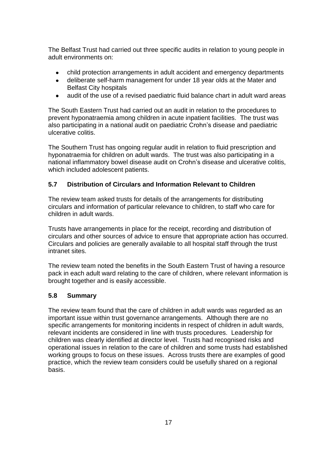The Belfast Trust had carried out three specific audits in relation to young people in adult environments on:

- child protection arrangements in adult accident and emergency departments
- deliberate self-harm management for under 18 year olds at the Mater and  $\bullet$ Belfast City hospitals
- audit of the use of a revised paediatric fluid balance chart in adult ward areas  $\bullet$

The South Eastern Trust had carried out an audit in relation to the procedures to prevent hyponatraemia among children in acute inpatient facilities. The trust was also participating in a national audit on paediatric Crohn's disease and paediatric ulcerative colitis.

The Southern Trust has ongoing regular audit in relation to fluid prescription and hyponatraemia for children on adult wards. The trust was also participating in a national inflammatory bowel disease audit on Crohn's disease and ulcerative colitis, which included adolescent patients.

#### **5.7 Distribution of Circulars and Information Relevant to Children**

The review team asked trusts for details of the arrangements for distributing circulars and information of particular relevance to children, to staff who care for children in adult wards.

Trusts have arrangements in place for the receipt, recording and distribution of circulars and other sources of advice to ensure that appropriate action has occurred. Circulars and policies are generally available to all hospital staff through the trust intranet sites.

The review team noted the benefits in the South Eastern Trust of having a resource pack in each adult ward relating to the care of children, where relevant information is brought together and is easily accessible.

#### **5.8 Summary**

The review team found that the care of children in adult wards was regarded as an important issue within trust governance arrangements. Although there are no specific arrangements for monitoring incidents in respect of children in adult wards, relevant incidents are considered in line with trusts procedures. Leadership for children was clearly identified at director level. Trusts had recognised risks and operational issues in relation to the care of children and some trusts had established working groups to focus on these issues. Across trusts there are examples of good practice, which the review team considers could be usefully shared on a regional basis.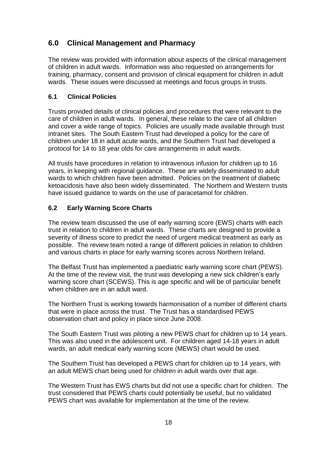# **6.0 Clinical Management and Pharmacy**

The review was provided with information about aspects of the clinical management of children in adult wards. Information was also requested on arrangements for training, pharmacy, consent and provision of clinical equipment for children in adult wards. These issues were discussed at meetings and focus groups in trusts.

### **6.1 Clinical Policies**

Trusts provided details of clinical policies and procedures that were relevant to the care of children in adult wards. In general, these relate to the care of all children and cover a wide range of topics. Policies are usually made available through trust intranet sites. The South Eastern Trust had developed a policy for the care of children under 18 in adult acute wards, and the Southern Trust had developed a protocol for 14 to 18 year olds for care arrangements in adult wards.

All trusts have procedures in relation to intravenous infusion for children up to 16 years, in keeping with regional guidance. These are widely disseminated to adult wards to which children have been admitted. Policies on the treatment of diabetic ketoacidosis have also been widely disseminated. The Northern and Western trusts have issued guidance to wards on the use of paracetamol for children.

### **6.2 Early Warning Score Charts**

The review team discussed the use of early warning score (EWS) charts with each trust in relation to children in adult wards. These charts are designed to provide a severity of illness score to predict the need of urgent medical treatment as early as possible. The review team noted a range of different policies in relation to children and various charts in place for early warning scores across Northern Ireland.

The Belfast Trust has implemented a paediatric early warning score chart (PEWS). At the time of the review visit, the trust was developing a new sick children's early warning score chart (SCEWS). This is age specific and will be of particular benefit when children are in an adult ward.

The Northern Trust is working towards harmonisation of a number of different charts that were in place across the trust. The Trust has a standardised PEWS observation chart and policy in place since June 2008.

The South Eastern Trust was piloting a new PEWS chart for children up to 14 years. This was also used in the adolescent unit. For children aged 14-18 years in adult wards, an adult medical early warning score (MEWS) chart would be used.

The Southern Trust has developed a PEWS chart for children up to 14 years, with an adult MEWS chart being used for children in adult wards over that age.

The Western Trust has EWS charts but did not use a specific chart for children. The trust considered that PEWS charts could potentially be useful, but no validated PEWS chart was available for implementation at the time of the review.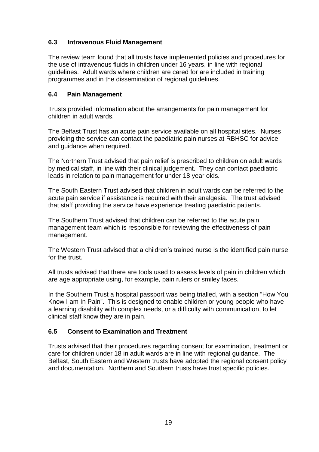### **6.3 Intravenous Fluid Management**

The review team found that all trusts have implemented policies and procedures for the use of intravenous fluids in children under 16 years, in line with regional guidelines. Adult wards where children are cared for are included in training programmes and in the dissemination of regional guidelines.

#### **6.4 Pain Management**

Trusts provided information about the arrangements for pain management for children in adult wards.

The Belfast Trust has an acute pain service available on all hospital sites. Nurses providing the service can contact the paediatric pain nurses at RBHSC for advice and guidance when required.

The Northern Trust advised that pain relief is prescribed to children on adult wards by medical staff, in line with their clinical judgement. They can contact paediatric leads in relation to pain management for under 18 year olds.

The South Eastern Trust advised that children in adult wards can be referred to the acute pain service if assistance is required with their analgesia. The trust advised that staff providing the service have experience treating paediatric patients.

The Southern Trust advised that children can be referred to the acute pain management team which is responsible for reviewing the effectiveness of pain management.

The Western Trust advised that a children's trained nurse is the identified pain nurse for the trust.

All trusts advised that there are tools used to assess levels of pain in children which are age appropriate using, for example, pain rulers or smiley faces.

In the Southern Trust a hospital passport was being trialled, with a section "How You Know I am In Pain". This is designed to enable children or young people who have a learning disability with complex needs, or a difficulty with communication, to let clinical staff know they are in pain.

#### **6.5 Consent to Examination and Treatment**

Trusts advised that their procedures regarding consent for examination, treatment or care for children under 18 in adult wards are in line with regional guidance. The Belfast, South Eastern and Western trusts have adopted the regional consent policy and documentation. Northern and Southern trusts have trust specific policies.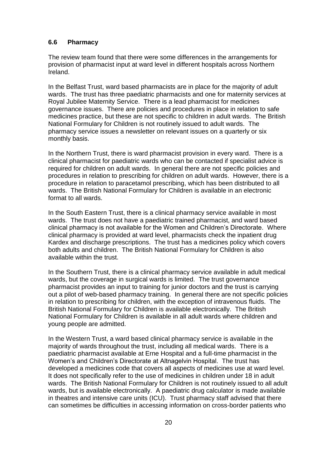#### **6.6 Pharmacy**

The review team found that there were some differences in the arrangements for provision of pharmacist input at ward level in different hospitals across Northern Ireland.

In the Belfast Trust, ward based pharmacists are in place for the majority of adult wards. The trust has three paediatric pharmacists and one for maternity services at Royal Jubilee Maternity Service. There is a lead pharmacist for medicines governance issues. There are policies and procedures in place in relation to safe medicines practice, but these are not specific to children in adult wards. The British National Formulary for Children is not routinely issued to adult wards. The pharmacy service issues a newsletter on relevant issues on a quarterly or six monthly basis.

In the Northern Trust, there is ward pharmacist provision in every ward. There is a clinical pharmacist for paediatric wards who can be contacted if specialist advice is required for children on adult wards. In general there are not specific policies and procedures in relation to prescribing for children on adult wards. However, there is a procedure in relation to paracetamol prescribing, which has been distributed to all wards. The British National Formulary for Children is available in an electronic format to all wards.

In the South Eastern Trust, there is a clinical pharmacy service available in most wards. The trust does not have a paediatric trained pharmacist, and ward based clinical pharmacy is not available for the Women and Children's Directorate. Where clinical pharmacy is provided at ward level, pharmacists check the inpatient drug Kardex and discharge prescriptions. The trust has a medicines policy which covers both adults and children. The British National Formulary for Children is also available within the trust.

In the Southern Trust, there is a clinical pharmacy service available in adult medical wards, but the coverage in surgical wards is limited. The trust governance pharmacist provides an input to training for junior doctors and the trust is carrying out a pilot of web-based pharmacy training. In general there are not specific policies in relation to prescribing for children, with the exception of intravenous fluids. The British National Formulary for Children is available electronically. The British National Formulary for Children is available in all adult wards where children and young people are admitted.

In the Western Trust, a ward based clinical pharmacy service is available in the majority of wards throughout the trust, including all medical wards. There is a paediatric pharmacist available at Erne Hospital and a full-time pharmacist in the Women's and Children's Directorate at Altnagelvin Hospital. The trust has developed a medicines code that covers all aspects of medicines use at ward level. It does not specifically refer to the use of medicines in children under 18 in adult wards. The British National Formulary for Children is not routinely issued to all adult wards, but is available electronically. A paediatric drug calculator is made available in theatres and intensive care units (ICU). Trust pharmacy staff advised that there can sometimes be difficulties in accessing information on cross-border patients who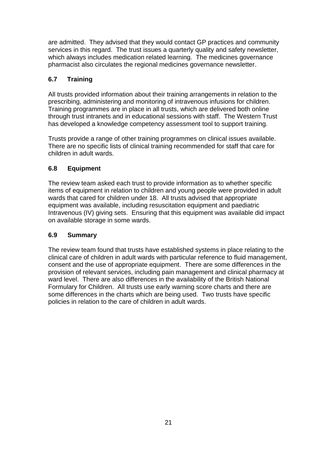are admitted. They advised that they would contact GP practices and community services in this regard. The trust issues a quarterly quality and safety newsletter, which always includes medication related learning. The medicines governance pharmacist also circulates the regional medicines governance newsletter.

# **6.7 Training**

All trusts provided information about their training arrangements in relation to the prescribing, administering and monitoring of intravenous infusions for children. Training programmes are in place in all trusts, which are delivered both online through trust intranets and in educational sessions with staff. The Western Trust has developed a knowledge competency assessment tool to support training.

Trusts provide a range of other training programmes on clinical issues available. There are no specific lists of clinical training recommended for staff that care for children in adult wards.

# **6.8 Equipment**

The review team asked each trust to provide information as to whether specific items of equipment in relation to children and young people were provided in adult wards that cared for children under 18. All trusts advised that appropriate equipment was available, including resuscitation equipment and paediatric Intravenous (IV) giving sets. Ensuring that this equipment was available did impact on available storage in some wards.

# **6.9 Summary**

The review team found that trusts have established systems in place relating to the clinical care of children in adult wards with particular reference to fluid management, consent and the use of appropriate equipment. There are some differences in the provision of relevant services, including pain management and clinical pharmacy at ward level. There are also differences in the availability of the British National Formulary for Children. All trusts use early warning score charts and there are some differences in the charts which are being used. Two trusts have specific policies in relation to the care of children in adult wards.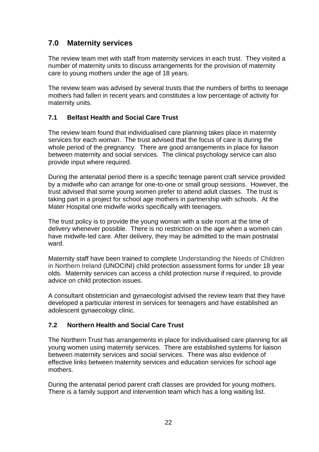# **7.0 Maternity services**

The review team met with staff from maternity services in each trust. They visited a number of maternity units to discuss arrangements for the provision of maternity care to young mothers under the age of 18 years.

The review team was advised by several trusts that the numbers of births to teenage mothers had fallen in recent years and constitutes a low percentage of activity for maternity units.

# **7.1 Belfast Health and Social Care Trust**

The review team found that individualised care planning takes place in maternity services for each woman. The trust advised that the focus of care is during the whole period of the pregnancy. There are good arrangements in place for liaison between maternity and social services. The clinical psychology service can also provide input where required.

During the antenatal period there is a specific teenage parent craft service provided by a midwife who can arrange for one-to-one or small group sessions. However, the trust advised that some young women prefer to attend adult classes. The trust is taking part in a project for school age mothers in partnership with schools. At the Mater Hospital one midwife works specifically with teenagers.

The trust policy is to provide the young woman with a side room at the time of delivery whenever possible. There is no restriction on the age when a women can have midwife-led care. After delivery, they may be admitted to the main postnatal ward.

Maternity staff have been trained to complete Understanding the Needs of Children in Northern Ireland (UNOCINI) child protection assessment forms for under 18 year olds. Maternity services can access a child protection nurse if required, to provide advice on child protection issues.

A consultant obstetrician and gynaecologist advised the review team that they have developed a particular interest in services for teenagers and have established an adolescent gynaecology clinic.

# **7.2 Northern Health and Social Care Trust**

The Northern Trust has arrangements in place for individualised care planning for all young women using maternity services. There are established systems for liaison between maternity services and social services. There was also evidence of effective links between maternity services and education services for school age mothers.

During the antenatal period parent craft classes are provided for young mothers. There is a family support and intervention team which has a long waiting list.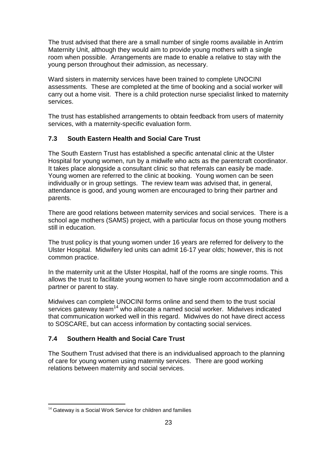The trust advised that there are a small number of single rooms available in Antrim Maternity Unit, although they would aim to provide young mothers with a single room when possible. Arrangements are made to enable a relative to stay with the young person throughout their admission, as necessary.

Ward sisters in maternity services have been trained to complete UNOCINI assessments. These are completed at the time of booking and a social worker will carry out a home visit. There is a child protection nurse specialist linked to maternity services.

The trust has established arrangements to obtain feedback from users of maternity services, with a maternity-specific evaluation form.

#### **7.3 South Eastern Health and Social Care Trust**

The South Eastern Trust has established a specific antenatal clinic at the Ulster Hospital for young women, run by a midwife who acts as the parentcraft coordinator. It takes place alongside a consultant clinic so that referrals can easily be made. Young women are referred to the clinic at booking. Young women can be seen individually or in group settings. The review team was advised that, in general, attendance is good, and young women are encouraged to bring their partner and parents.

There are good relations between maternity services and social services. There is a school age mothers (SAMS) project, with a particular focus on those young mothers still in education.

The trust policy is that young women under 16 years are referred for delivery to the Ulster Hospital. Midwifery led units can admit 16-17 year olds; however, this is not common practice.

In the maternity unit at the Ulster Hospital, half of the rooms are single rooms. This allows the trust to facilitate young women to have single room accommodation and a partner or parent to stay.

Midwives can complete UNOCINI forms online and send them to the trust social services gateway team<sup>14</sup> who allocate a named social worker. Midwives indicated that communication worked well in this regard. Midwives do not have direct access to SOSCARE, but can access information by contacting social services.

#### **7.4 Southern Health and Social Care Trust**

The Southern Trust advised that there is an individualised approach to the planning of care for young women using maternity services. There are good working relations between maternity and social services.

<sup>1</sup>  $14$  Gateway is a Social Work Service for children and families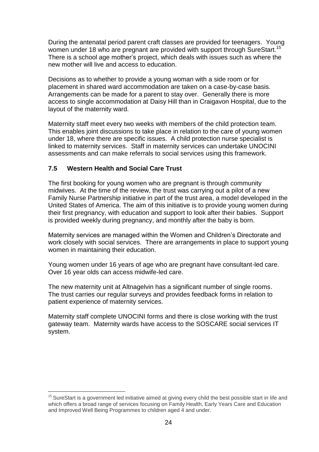During the antenatal period parent craft classes are provided for teenagers. Young women under 18 who are pregnant are provided with support through SureStart.<sup>15</sup> There is a school age mother's project, which deals with issues such as where the new mother will live and access to education.

Decisions as to whether to provide a young woman with a side room or for placement in shared ward accommodation are taken on a case-by-case basis. Arrangements can be made for a parent to stay over. Generally there is more access to single accommodation at Daisy Hill than in Craigavon Hospital, due to the layout of the maternity ward.

Maternity staff meet every two weeks with members of the child protection team. This enables joint discussions to take place in relation to the care of young women under 18, where there are specific issues. A child protection nurse specialist is linked to maternity services. Staff in maternity services can undertake UNOCINI assessments and can make referrals to social services using this framework.

#### **7.5 Western Health and Social Care Trust**

<u>.</u>

The first booking for young women who are pregnant is through community midwives. At the time of the review, the trust was carrying out a pilot of a new Family Nurse Partnership initiative in part of the trust area, a model developed in the United States of America. The aim of this initiative is to provide young women during their first pregnancy, with education and support to look after their babies. Support is provided weekly during pregnancy, and monthly after the baby is born.

Maternity services are managed within the Women and Children's Directorate and work closely with social services. There are arrangements in place to support young women in maintaining their education.

Young women under 16 years of age who are pregnant have consultant-led care. Over 16 year olds can access midwife-led care.

The new maternity unit at Altnagelvin has a significant number of single rooms. The trust carries our regular surveys and provides feedback forms in relation to patient experience of maternity services.

Maternity staff complete UNOCINI forms and there is close working with the trust gateway team. Maternity wards have access to the SOSCARE social services IT system.

<sup>&</sup>lt;sup>15</sup> SureStart is a government led initiative aimed at giving every child the best possible start in life and which offers a broad range of services focusing on Family Health, Early Years Care and Education and Improved Well Being Programmes to children aged 4 and under.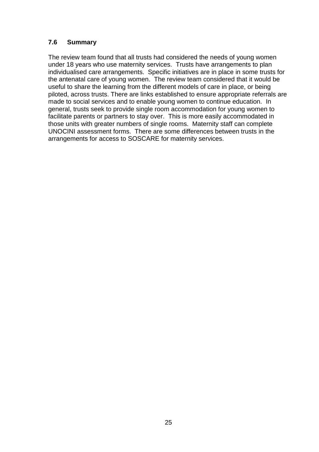### **7.6 Summary**

The review team found that all trusts had considered the needs of young women under 18 years who use maternity services. Trusts have arrangements to plan individualised care arrangements. Specific initiatives are in place in some trusts for the antenatal care of young women. The review team considered that it would be useful to share the learning from the different models of care in place, or being piloted, across trusts. There are links established to ensure appropriate referrals are made to social services and to enable young women to continue education. In general, trusts seek to provide single room accommodation for young women to facilitate parents or partners to stay over. This is more easily accommodated in those units with greater numbers of single rooms. Maternity staff can complete UNOCINI assessment forms. There are some differences between trusts in the arrangements for access to SOSCARE for maternity services.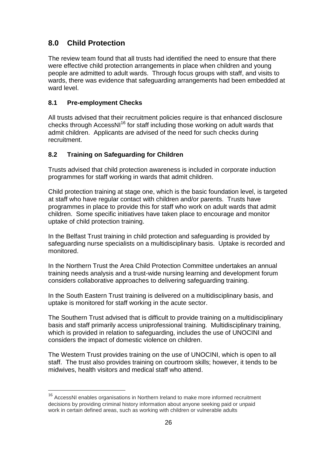# **8.0 Child Protection**

The review team found that all trusts had identified the need to ensure that there were effective child protection arrangements in place when children and young people are admitted to adult wards. Through focus groups with staff, and visits to wards, there was evidence that safeguarding arrangements had been embedded at ward level.

### **8.1 Pre-employment Checks**

<u>.</u>

All trusts advised that their recruitment policies require is that enhanced disclosure checks through AccessNI<sup>16</sup> for staff including those working on adult wards that admit children. Applicants are advised of the need for such checks during recruitment.

# **8.2 Training on Safeguarding for Children**

Trusts advised that child protection awareness is included in corporate induction programmes for staff working in wards that admit children.

Child protection training at stage one, which is the basic foundation level, is targeted at staff who have regular contact with children and/or parents. Trusts have programmes in place to provide this for staff who work on adult wards that admit children. Some specific initiatives have taken place to encourage and monitor uptake of child protection training.

In the Belfast Trust training in child protection and safeguarding is provided by safeguarding nurse specialists on a multidisciplinary basis. Uptake is recorded and monitored.

In the Northern Trust the Area Child Protection Committee undertakes an annual training needs analysis and a trust-wide nursing learning and development forum considers collaborative approaches to delivering safeguarding training.

In the South Eastern Trust training is delivered on a multidisciplinary basis, and uptake is monitored for staff working in the acute sector.

The Southern Trust advised that is difficult to provide training on a multidisciplinary basis and staff primarily access uniprofessional training. Multidisciplinary training, which is provided in relation to safeguarding, includes the use of UNOCINI and considers the impact of domestic violence on children.

The Western Trust provides training on the use of UNOCINI, which is open to all staff. The trust also provides training on courtroom skills; however, it tends to be midwives, health visitors and medical staff who attend.

<sup>&</sup>lt;sup>16</sup> AccessNI enables organisations in Northern Ireland to make more informed recruitment decisions by providing criminal history information about anyone seeking paid or unpaid work in certain defined areas, such as working with children or vulnerable adults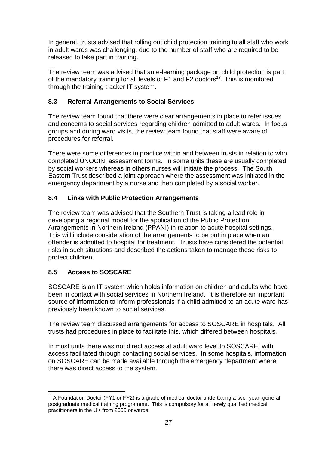In general, trusts advised that rolling out child protection training to all staff who work in adult wards was challenging, due to the number of staff who are required to be released to take part in training.

The review team was advised that an e-learning package on child protection is part of the mandatory training for all levels of  $F1$  and  $F2$  doctors<sup>17</sup>. This is monitored through the training tracker IT system.

### **8.3 Referral Arrangements to Social Services**

The review team found that there were clear arrangements in place to refer issues and concerns to social services regarding children admitted to adult wards. In focus groups and during ward visits, the review team found that staff were aware of procedures for referral.

There were some differences in practice within and between trusts in relation to who completed UNOCINI assessment forms. In some units these are usually completed by social workers whereas in others nurses will initiate the process. The South Eastern Trust described a joint approach where the assessment was initiated in the emergency department by a nurse and then completed by a social worker.

### **8.4 Links with Public Protection Arrangements**

The review team was advised that the Southern Trust is taking a lead role in developing a regional model for the application of the Public Protection Arrangements in Northern Ireland (PPANI) in relation to acute hospital settings. This will include consideration of the arrangements to be put in place when an offender is admitted to hospital for treatment. Trusts have considered the potential risks in such situations and described the actions taken to manage these risks to protect children.

# **8.5 Access to SOSCARE**

SOSCARE is an IT system which holds information on children and adults who have been in contact with social services in Northern Ireland. It is therefore an important source of information to inform professionals if a child admitted to an acute ward has previously been known to social services.

The review team discussed arrangements for access to SOSCARE in hospitals. All trusts had procedures in place to facilitate this, which differed between hospitals.

In most units there was not direct access at adult ward level to SOSCARE, with access facilitated through contacting social services. In some hospitals, information on SOSCARE can be made available through the emergency department where there was direct access to the system.

<sup>&</sup>lt;u>.</u>  $17$  A Foundation Doctor (FY1 or FY2) is a grade of [medical doctor u](http://en.wikipedia.org/wiki/Medical_practitioner)ndertaking a two- year, general postgraduate medical training programme. This is compulsory for all newly qualified [medical](http://en.wikipedia.org/wiki/Medical_practitioner)  [practitioners](http://en.wikipedia.org/wiki/Medical_practitioner) in the [UK](http://en.wikipedia.org/wiki/UK) from 2005 onwards.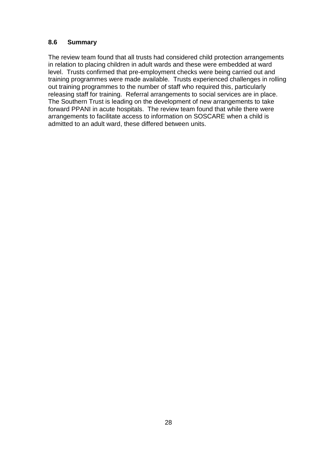#### **8.6 Summary**

The review team found that all trusts had considered child protection arrangements in relation to placing children in adult wards and these were embedded at ward level. Trusts confirmed that pre-employment checks were being carried out and training programmes were made available. Trusts experienced challenges in rolling out training programmes to the number of staff who required this, particularly releasing staff for training. Referral arrangements to social services are in place. The Southern Trust is leading on the development of new arrangements to take forward PPANI in acute hospitals. The review team found that while there were arrangements to facilitate access to information on SOSCARE when a child is admitted to an adult ward, these differed between units.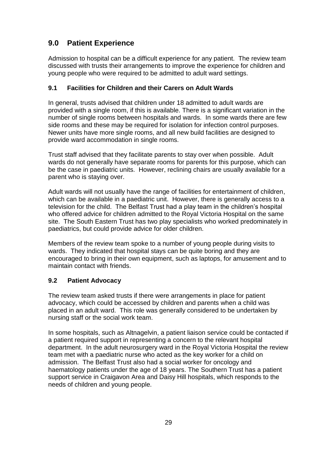# **9.0 Patient Experience**

Admission to hospital can be a difficult experience for any patient. The review team discussed with trusts their arrangements to improve the experience for children and young people who were required to be admitted to adult ward settings.

#### **9.1 Facilities for Children and their Carers on Adult Wards**

In general, trusts advised that children under 18 admitted to adult wards are provided with a single room, if this is available. There is a significant variation in the number of single rooms between hospitals and wards. In some wards there are few side rooms and these may be required for isolation for infection control purposes. Newer units have more single rooms, and all new build facilities are designed to provide ward accommodation in single rooms.

Trust staff advised that they facilitate parents to stay over when possible. Adult wards do not generally have separate rooms for parents for this purpose, which can be the case in paediatric units. However, reclining chairs are usually available for a parent who is staying over.

Adult wards will not usually have the range of facilities for entertainment of children, which can be available in a paediatric unit. However, there is generally access to a television for the child. The Belfast Trust had a play team in the children's hospital who offered advice for children admitted to the Royal Victoria Hospital on the same site. The South Eastern Trust has two play specialists who worked predominately in paediatrics, but could provide advice for older children.

Members of the review team spoke to a number of young people during visits to wards. They indicated that hospital stays can be quite boring and they are encouraged to bring in their own equipment, such as laptops, for amusement and to maintain contact with friends.

#### **9.2 Patient Advocacy**

The review team asked trusts if there were arrangements in place for patient advocacy, which could be accessed by children and parents when a child was placed in an adult ward. This role was generally considered to be undertaken by nursing staff or the social work team.

In some hospitals, such as Altnagelvin, a patient liaison service could be contacted if a patient required support in representing a concern to the relevant hospital department. In the adult neurosurgery ward in the Royal Victoria Hospital the review team met with a paediatric nurse who acted as the key worker for a child on admission. The Belfast Trust also had a social worker for oncology and haematology patients under the age of 18 years. The Southern Trust has a patient support service in Craigavon Area and Daisy Hill hospitals, which responds to the needs of children and young people.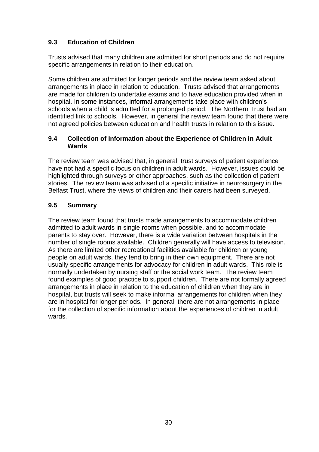# **9.3 Education of Children**

Trusts advised that many children are admitted for short periods and do not require specific arrangements in relation to their education.

Some children are admitted for longer periods and the review team asked about arrangements in place in relation to education. Trusts advised that arrangements are made for children to undertake exams and to have education provided when in hospital. In some instances, informal arrangements take place with children's schools when a child is admitted for a prolonged period. The Northern Trust had an identified link to schools. However, in general the review team found that there were not agreed policies between education and health trusts in relation to this issue.

#### **9.4 Collection of Information about the Experience of Children in Adult Wards**

The review team was advised that, in general, trust surveys of patient experience have not had a specific focus on children in adult wards. However, issues could be highlighted through surveys or other approaches, such as the collection of patient stories. The review team was advised of a specific initiative in neurosurgery in the Belfast Trust, where the views of children and their carers had been surveyed.

### **9.5 Summary**

The review team found that trusts made arrangements to accommodate children admitted to adult wards in single rooms when possible, and to accommodate parents to stay over. However, there is a wide variation between hospitals in the number of single rooms available. Children generally will have access to television. As there are limited other recreational facilities available for children or young people on adult wards, they tend to bring in their own equipment. There are not usually specific arrangements for advocacy for children in adult wards. This role is normally undertaken by nursing staff or the social work team. The review team found examples of good practice to support children. There are not formally agreed arrangements in place in relation to the education of children when they are in hospital, but trusts will seek to make informal arrangements for children when they are in hospital for longer periods. In general, there are not arrangements in place for the collection of specific information about the experiences of children in adult wards.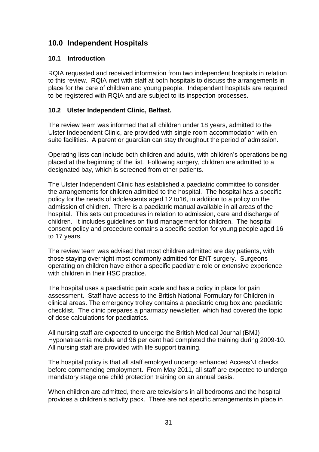# **10.0 Independent Hospitals**

#### **10.1 Introduction**

RQIA requested and received information from two independent hospitals in relation to this review. RQIA met with staff at both hospitals to discuss the arrangements in place for the care of children and young people. Independent hospitals are required to be registered with RQIA and are subject to its inspection processes.

### **10.2 Ulster Independent Clinic, Belfast.**

The review team was informed that all children under 18 years, admitted to the Ulster Independent Clinic, are provided with single room accommodation with en suite facilities. A parent or guardian can stay throughout the period of admission.

Operating lists can include both children and adults, with children's operations being placed at the beginning of the list. Following surgery, children are admitted to a designated bay, which is screened from other patients.

The Ulster Independent Clinic has established a paediatric committee to consider the arrangements for children admitted to the hospital. The hospital has a specific policy for the needs of adolescents aged 12 to16, in addition to a policy on the admission of children. There is a paediatric manual available in all areas of the hospital. This sets out procedures in relation to admission, care and discharge of children. It includes guidelines on fluid management for children. The hospital consent policy and procedure contains a specific section for young people aged 16 to 17 years.

The review team was advised that most children admitted are day patients, with those staying overnight most commonly admitted for ENT surgery. Surgeons operating on children have either a specific paediatric role or extensive experience with children in their HSC practice.

The hospital uses a paediatric pain scale and has a policy in place for pain assessment. Staff have access to the British National Formulary for Children in clinical areas. The emergency trolley contains a paediatric drug box and paediatric checklist. The clinic prepares a pharmacy newsletter, which had covered the topic of dose calculations for paediatrics.

All nursing staff are expected to undergo the British Medical Journal (BMJ) Hyponatraemia module and 96 per cent had completed the training during 2009-10. All nursing staff are provided with life support training.

The hospital policy is that all staff employed undergo enhanced AccessNI checks before commencing employment. From May 2011, all staff are expected to undergo mandatory stage one child protection training on an annual basis.

When children are admitted, there are televisions in all bedrooms and the hospital provides a children's activity pack. There are not specific arrangements in place in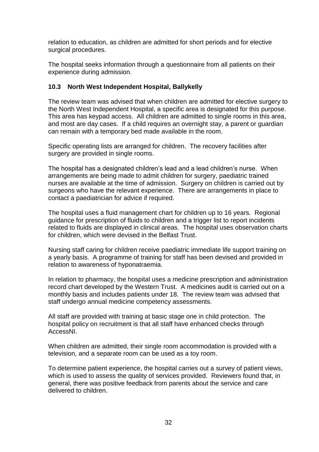relation to education, as children are admitted for short periods and for elective surgical procedures.

The hospital seeks information through a questionnaire from all patients on their experience during admission.

#### **10.3 North West Independent Hospital, Ballykelly**

The review team was advised that when children are admitted for elective surgery to the North West Independent Hospital, a specific area is designated for this purpose. This area has keypad access. All children are admitted to single rooms in this area, and most are day cases. If a child requires an overnight stay, a parent or guardian can remain with a temporary bed made available in the room.

Specific operating lists are arranged for children. The recovery facilities after surgery are provided in single rooms.

The hospital has a designated children's lead and a lead children's nurse. When arrangements are being made to admit children for surgery, paediatric trained nurses are available at the time of admission. Surgery on children is carried out by surgeons who have the relevant experience. There are arrangements in place to contact a paediatrician for advice if required.

The hospital uses a fluid management chart for children up to 16 years. Regional guidance for prescription of fluids to children and a trigger list to report incidents related to fluids are displayed in clinical areas. The hospital uses observation charts for children, which were devised in the Belfast Trust.

Nursing staff caring for children receive paediatric immediate life support training on a yearly basis. A programme of training for staff has been devised and provided in relation to awareness of hyponatraemia.

In relation to pharmacy, the hospital uses a medicine prescription and administration record chart developed by the Western Trust. A medicines audit is carried out on a monthly basis and includes patients under 18. The review team was advised that staff undergo annual medicine competency assessments.

All staff are provided with training at basic stage one in child protection. The hospital policy on recruitment is that all staff have enhanced checks through AccessNI.

When children are admitted, their single room accommodation is provided with a television, and a separate room can be used as a toy room.

To determine patient experience, the hospital carries out a survey of patient views, which is used to assess the quality of services provided. Reviewers found that, in general, there was positive feedback from parents about the service and care delivered to children.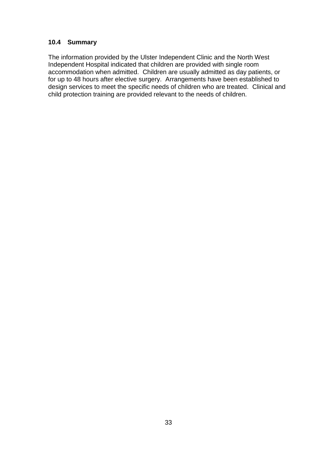#### **10.4 Summary**

The information provided by the Ulster Independent Clinic and the North West Independent Hospital indicated that children are provided with single room accommodation when admitted. Children are usually admitted as day patients, or for up to 48 hours after elective surgery. Arrangements have been established to design services to meet the specific needs of children who are treated. Clinical and child protection training are provided relevant to the needs of children.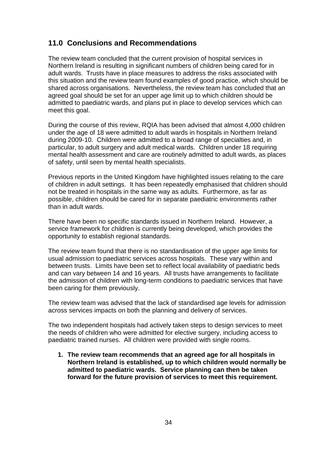# **11.0 Conclusions and Recommendations**

The review team concluded that the current provision of hospital services in Northern Ireland is resulting in significant numbers of children being cared for in adult wards. Trusts have in place measures to address the risks associated with this situation and the review team found examples of good practice, which should be shared across organisations. Nevertheless, the review team has concluded that an agreed goal should be set for an upper age limit up to which children should be admitted to paediatric wards, and plans put in place to develop services which can meet this goal.

During the course of this review, RQIA has been advised that almost 4,000 children under the age of 18 were admitted to adult wards in hospitals in Northern Ireland during 2009-10. Children were admitted to a broad range of specialties and, in particular, to adult surgery and adult medical wards. Children under 18 requiring mental health assessment and care are routinely admitted to adult wards, as places of safety, until seen by mental health specialists.

Previous reports in the United Kingdom have highlighted issues relating to the care of children in adult settings. It has been repeatedly emphasised that children should not be treated in hospitals in the same way as adults. Furthermore, as far as possible, children should be cared for in separate paediatric environments rather than in adult wards.

There have been no specific standards issued in Northern Ireland. However, a service framework for children is currently being developed, which provides the opportunity to establish regional standards.

The review team found that there is no standardisation of the upper age limits for usual admission to paediatric services across hospitals. These vary within and between trusts. Limits have been set to reflect local availability of paediatric beds and can vary between 14 and 16 years. All trusts have arrangements to facilitate the admission of children with long-term conditions to paediatric services that have been caring for them previously.

The review team was advised that the lack of standardised age levels for admission across services impacts on both the planning and delivery of services.

The two independent hospitals had actively taken steps to design services to meet the needs of children who were admitted for elective surgery, including access to paediatric trained nurses. All children were provided with single rooms.

**1. The review team recommends that an agreed age for all hospitals in Northern Ireland is established, up to which children would normally be admitted to paediatric wards. Service planning can then be taken forward for the future provision of services to meet this requirement.**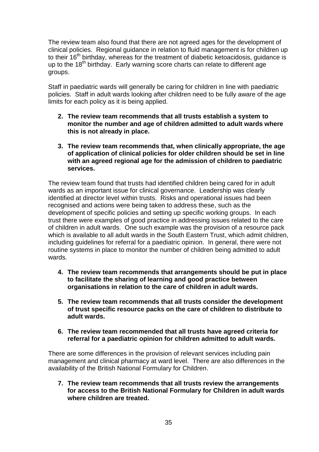The review team also found that there are not agreed ages for the development of clinical policies. Regional guidance in relation to fluid management is for children up to their 16<sup>th</sup> birthday, whereas for the treatment of diabetic ketoacidosis, guidance is up to the 18<sup>th</sup> birthday. Early warning score charts can relate to different age groups.

Staff in paediatric wards will generally be caring for children in line with paediatric policies. Staff in adult wards looking after children need to be fully aware of the age limits for each policy as it is being applied.

- **2. The review team recommends that all trusts establish a system to monitor the number and age of children admitted to adult wards where this is not already in place.**
- **3. The review team recommends that, when clinically appropriate, the age of application of clinical policies for older children should be set in line with an agreed regional age for the admission of children to paediatric services.**

The review team found that trusts had identified children being cared for in adult wards as an important issue for clinical governance. Leadership was clearly identified at director level within trusts. Risks and operational issues had been recognised and actions were being taken to address these, such as the development of specific policies and setting up specific working groups. In each trust there were examples of good practice in addressing issues related to the care of children in adult wards. One such example was the provision of a resource pack which is available to all adult wards in the South Eastern Trust, which admit children, including guidelines for referral for a paediatric opinion. In general, there were not routine systems in place to monitor the number of children being admitted to adult wards.

- **4. The review team recommends that arrangements should be put in place to facilitate the sharing of learning and good practice between organisations in relation to the care of children in adult wards.**
- **5. The review team recommends that all trusts consider the development of trust specific resource packs on the care of children to distribute to adult wards.**
- **6. The review team recommended that all trusts have agreed criteria for referral for a paediatric opinion for children admitted to adult wards.**

There are some differences in the provision of relevant services including pain management and clinical pharmacy at ward level. There are also differences in the availability of the British National Formulary for Children.

**7. The review team recommends that all trusts review the arrangements for access to the British National Formulary for Children in adult wards where children are treated.**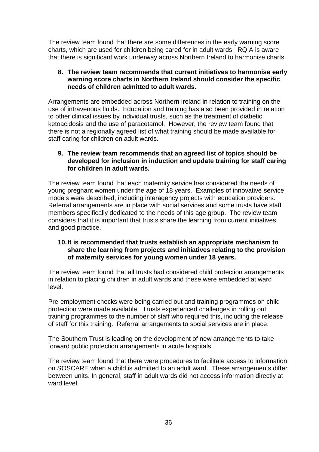The review team found that there are some differences in the early warning score charts, which are used for children being cared for in adult wards. RQIA is aware that there is significant work underway across Northern Ireland to harmonise charts.

#### **8. The review team recommends that current initiatives to harmonise early warning score charts in Northern Ireland should consider the specific needs of children admitted to adult wards.**

Arrangements are embedded across Northern Ireland in relation to training on the use of intravenous fluids. Education and training has also been provided in relation to other clinical issues by individual trusts, such as the treatment of diabetic ketoacidosis and the use of paracetamol. However, the review team found that there is not a regionally agreed list of what training should be made available for staff caring for children on adult wards.

#### **9. The review team recommends that an agreed list of topics should be developed for inclusion in induction and update training for staff caring for children in adult wards.**

The review team found that each maternity service has considered the needs of young pregnant women under the age of 18 years. Examples of innovative service models were described, including interagency projects with education providers. Referral arrangements are in place with social services and some trusts have staff members specifically dedicated to the needs of this age group. The review team considers that it is important that trusts share the learning from current initiatives and good practice.

#### **10.It is recommended that trusts establish an appropriate mechanism to share the learning from projects and initiatives relating to the provision of maternity services for young women under 18 years.**

The review team found that all trusts had considered child protection arrangements in relation to placing children in adult wards and these were embedded at ward level.

Pre-employment checks were being carried out and training programmes on child protection were made available. Trusts experienced challenges in rolling out training programmes to the number of staff who required this, including the release of staff for this training. Referral arrangements to social services are in place.

The Southern Trust is leading on the development of new arrangements to take forward public protection arrangements in acute hospitals.

The review team found that there were procedures to facilitate access to information on SOSCARE when a child is admitted to an adult ward. These arrangements differ between units. In general, staff in adult wards did not access information directly at ward level.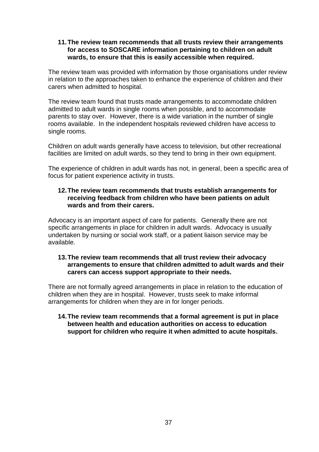#### **11.The review team recommends that all trusts review their arrangements for access to SOSCARE information pertaining to children on adult wards, to ensure that this is easily accessible when required.**

The review team was provided with information by those organisations under review in relation to the approaches taken to enhance the experience of children and their carers when admitted to hospital.

The review team found that trusts made arrangements to accommodate children admitted to adult wards in single rooms when possible, and to accommodate parents to stay over. However, there is a wide variation in the number of single rooms available. In the independent hospitals reviewed children have access to single rooms.

Children on adult wards generally have access to television, but other recreational facilities are limited on adult wards, so they tend to bring in their own equipment.

The experience of children in adult wards has not, in general, been a specific area of focus for patient experience activity in trusts.

#### **12.The review team recommends that trusts establish arrangements for receiving feedback from children who have been patients on adult wards and from their carers.**

Advocacy is an important aspect of care for patients. Generally there are not specific arrangements in place for children in adult wards. Advocacy is usually undertaken by nursing or social work staff, or a patient liaison service may be available.

#### **13.The review team recommends that all trust review their advocacy arrangements to ensure that children admitted to adult wards and their carers can access support appropriate to their needs.**

There are not formally agreed arrangements in place in relation to the education of children when they are in hospital. However, trusts seek to make informal arrangements for children when they are in for longer periods.

#### **14.The review team recommends that a formal agreement is put in place between health and education authorities on access to education support for children who require it when admitted to acute hospitals.**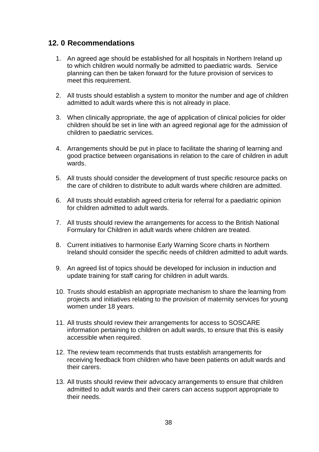# **12. 0 Recommendations**

- 1. An agreed age should be established for all hospitals in Northern Ireland up to which children would normally be admitted to paediatric wards. Service planning can then be taken forward for the future provision of services to meet this requirement.
- 2. All trusts should establish a system to monitor the number and age of children admitted to adult wards where this is not already in place.
- 3. When clinically appropriate, the age of application of clinical policies for older children should be set in line with an agreed regional age for the admission of children to paediatric services.
- 4. Arrangements should be put in place to facilitate the sharing of learning and good practice between organisations in relation to the care of children in adult wards.
- 5. All trusts should consider the development of trust specific resource packs on the care of children to distribute to adult wards where children are admitted.
- 6. All trusts should establish agreed criteria for referral for a paediatric opinion for children admitted to adult wards.
- 7. All trusts should review the arrangements for access to the British National Formulary for Children in adult wards where children are treated.
- 8. Current initiatives to harmonise Early Warning Score charts in Northern Ireland should consider the specific needs of children admitted to adult wards.
- 9. An agreed list of topics should be developed for inclusion in induction and update training for staff caring for children in adult wards.
- 10. Trusts should establish an appropriate mechanism to share the learning from projects and initiatives relating to the provision of maternity services for young women under 18 years.
- 11. All trusts should review their arrangements for access to SOSCARE information pertaining to children on adult wards, to ensure that this is easily accessible when required.
- 12. The review team recommends that trusts establish arrangements for receiving feedback from children who have been patients on adult wards and their carers.
- 13. All trusts should review their advocacy arrangements to ensure that children admitted to adult wards and their carers can access support appropriate to their needs.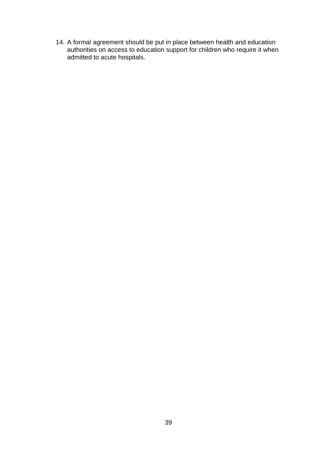14. A formal agreement should be put in place between health and education authorities on access to education support for children who require it when admitted to acute hospitals.